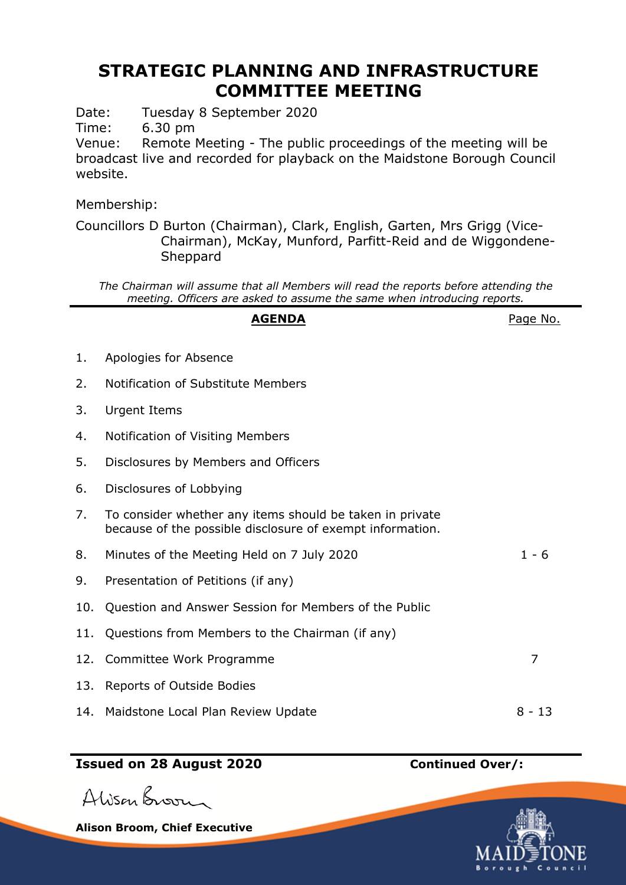## **STRATEGIC PLANNING AND INFRASTRUCTURE COMMITTEE MEETING**

Date: Tuesday 8 September 2020

Time: 6.30 pm

Venue: Remote Meeting - The public proceedings of the meeting will be broadcast live and recorded for playback on the Maidstone Borough Council website.

Membership:

Councillors D Burton (Chairman), Clark, English, Garten, Mrs Grigg (Vice-Chairman), McKay, Munford, Parfitt-Reid and de Wiggondene-Sheppard

*The Chairman will assume that all Members will read the reports before attending the meeting. Officers are asked to assume the same when introducing reports.*

|     | <b>AGENDA</b>                                                                                                         | Page No. |
|-----|-----------------------------------------------------------------------------------------------------------------------|----------|
| 1.  | Apologies for Absence                                                                                                 |          |
| 2.  | Notification of Substitute Members                                                                                    |          |
| 3.  | Urgent Items                                                                                                          |          |
| 4.  | Notification of Visiting Members                                                                                      |          |
| 5.  | Disclosures by Members and Officers                                                                                   |          |
| 6.  | Disclosures of Lobbying                                                                                               |          |
| 7.  | To consider whether any items should be taken in private<br>because of the possible disclosure of exempt information. |          |
| 8.  | Minutes of the Meeting Held on 7 July 2020                                                                            | $1 - 6$  |
| 9.  | Presentation of Petitions (if any)                                                                                    |          |
| 10. | Question and Answer Session for Members of the Public                                                                 |          |
| 11. | Questions from Members to the Chairman (if any)                                                                       |          |
|     | 12. Committee Work Programme                                                                                          | 7        |
| 13. | Reports of Outside Bodies                                                                                             |          |
| 14. | Maidstone Local Plan Review Update                                                                                    | 8 - 13   |

## **Issued on 28 August 2020 Continued Over/:**



**Alison Broom, Chief Executive**